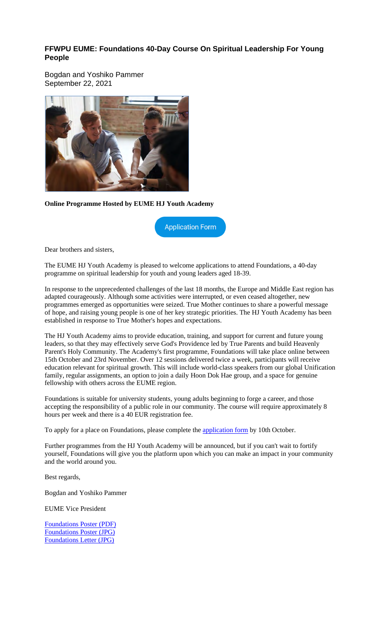#### **FFWPU EUME: Foundations 40-Day Course On Spiritual Leadership For Young People**

Bogdan and Yoshiko Pammer September 22, 2021



**Online Programme Hosted by EUME HJ Youth Academy**

**Application Form** 

Dear brothers and sisters,

The EUME HJ Youth Academy is pleased to welcome applications to attend Foundations, a 40-day programme on spiritual leadership for youth and young leaders aged 18-39.

In response to the unprecedented challenges of the last 18 months, the Europe and Middle East region has adapted courageously. Although some activities were interrupted, or even ceased altogether, new programmes emerged as opportunities were seized. True Mother continues to share a powerful message of hope, and raising young people is one of her key strategic priorities. The HJ Youth Academy has been established in response to True Mother's hopes and expectations.

The HJ Youth Academy aims to provide education, training, and support for current and future young leaders, so that they may effectively serve God's Providence led by True Parents and build Heavenly Parent's Holy Community. The Academy's first programme, Foundations will take place online between 15th October and 23rd November. Over 12 sessions delivered twice a week, participants will receive education relevant for spiritual growth. This will include world-class speakers from our global Unification family, regular assignments, an option to join a daily Hoon Dok Hae group, and a space for genuine fellowship with others across the EUME region.

Foundations is suitable for university students, young adults beginning to forge a career, and those accepting the responsibility of a public role in our community. The course will require approximately 8 hours per week and there is a 40 EUR registration fee.

To apply for a place on Foundations, please complete the application form by 10th October.

Further programmes from the HJ Youth Academy will be announced, but if you can't wait to fortify yourself, Foundations will give you the platform upon which you can make an impact in your community and the world around you.

Best regards,

Bogdan and Yoshiko Pammer

EUME Vice President

Foundations Poster (PDF) Foundations Poster (JPG) Foundations Letter (JPG)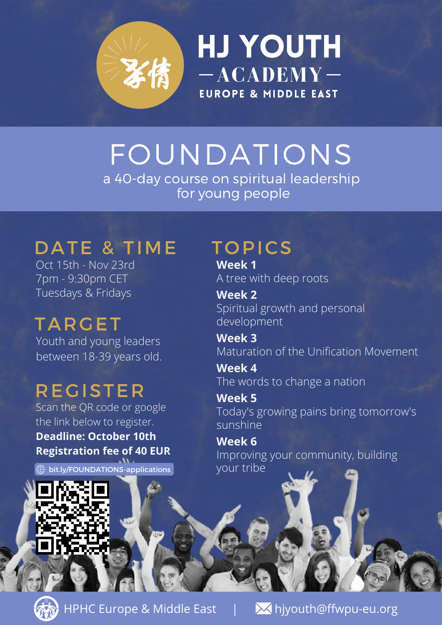

HJ Youth **ACADEMY EUROPE & MIDDLE EAST** 

#### FOUNDATIONS a 40-day course on spiritual leadership for young people

### DATE & TIME TOPICS

Oct 15th - Nov 23rd 7pm - 9:30pm CET Tuesdays & Fridays

## **TARGET**

Youth and young leaders between 18-39 years old.

#### **REGISTER**

Scan the QR code or google the link below to register. **Deadline: October 10th Registration fee of 40 EUR**

bit.ly/FOUNDATIONS-applications

**Week 1** A tree with deep roots

**Week 2** Spiritual growth and personal development

**Week 3** Maturation of the Unification Movement

**Week 4** The words to change a nation

**Week 5** Today's growing pains bring tomorrow's sunshine

**Week 6** Improving your community, building your tribe



HPHC Europe & Middle East | Miyouth@ffwpu-eu.org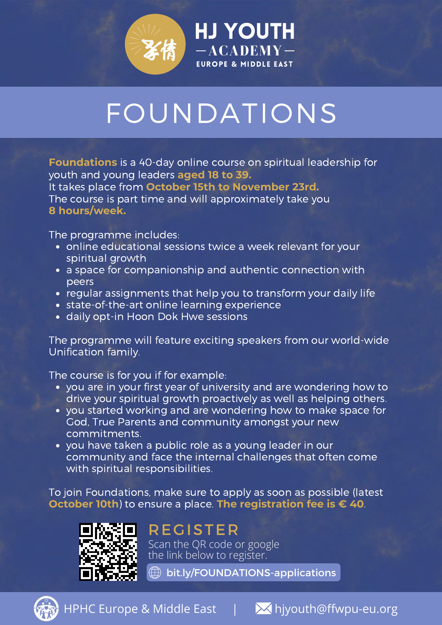

# FOUNDATIONS

HJ Youth

**EUROPE & MIDDLE EAST** 

**ACADEMY**

**Foundations** is a 40-day online course on spiritual leadership for youth and young leaders **aged 18 to 39.** It takes place from **October 15th to November 23rd.** The course is part time and will approximately take you **8 hours/week.**

The programme includes:

- online educational sessions twice a week relevant for your spiritual growth
- a space for companionship and authentic connection with peers
- regular assignments that help you to transform your daily life
- state-of-the-art online learning experience
- daily opt-in Hoon Dok Hwe sessions

The programme will feature exciting speakers from our world-wide Unification family.

The course is for you if for example:

- you are in your first year of university and are wondering how to drive your spiritual growth proactively as well as helping others.
- you started working and are wondering how to make space for God, True Parents and community amongst your new commitments.
- you have taken a public role as a young leader in our community and face the internal challenges that often come with spiritual responsibilities.

To join Foundations, make sure to apply as soon as possible (latest **October 10th**) to ensure a place. **The registration fee is € 40**.



#### **REGISTER**

Scan the QR code or google the link below to register.

 $\textcircled{1}$  bit.ly/FOUNDATIONS-applications



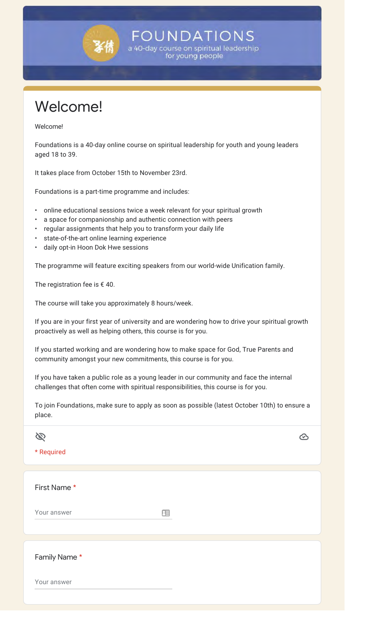

Welcome!

Welcome!

Foundations is a 40-day online course on spiritual leadership for youth and young leaders aged 18 to 39.

**FOUNDATIONS** a 40-day course on spiritual leadership for young people

It takes place from October 15th to November 23rd.

Foundations is a part-time programme and includes:

- online educational sessions twice a week relevant for your spiritual growth
- a space for companionship and authentic connection with peers
- regular assignments that help you to transform your daily life
- state-of-the-art online learning experience
- daily opt-in Hoon Dok Hwe sessions

The programme will feature exciting speakers from our world-wide Unification family.

The registration fee is  $\epsilon$  40.

The course will take you approximately 8 hours/week.

If you are in your first year of university and are wondering how to drive your spiritual growth proactively as well as helping others, this course is for you.

If you started working and are wondering how to make space for God, True Parents and community amongst your new commitments, this course is for you.

If you have taken a public role as a young leader in our community and face the internal challenges that often come with spiritual responsibilities, this course is for you.

To join Foundations, make sure to apply as soon as possible (latest October 10th) to ensure a place.

| * Required   |   |  |
|--------------|---|--|
|              |   |  |
| First Name*  |   |  |
| Your answer  | 田 |  |
|              |   |  |
| Family Name* |   |  |
| Your answer  |   |  |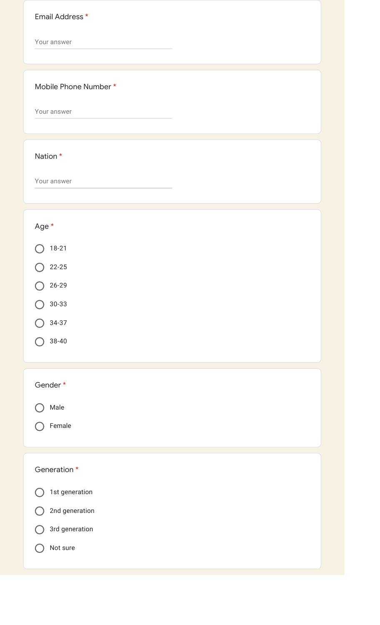| Email Address *       |
|-----------------------|
| Your answer           |
| Mobile Phone Number * |
| Your answer           |
| Nation *              |
| Your answer           |
| Age *                 |
| $18 - 21$             |
| $22 - 25$             |
| $26 - 29$             |
| $30 - 33$             |
| $34-37$               |
| $38 - 40$             |
| Gender*               |
| Male                  |
| Female                |
| Generation *          |
| 1st generation        |
| 2nd generation        |
| 3rd generation        |
| Not sure              |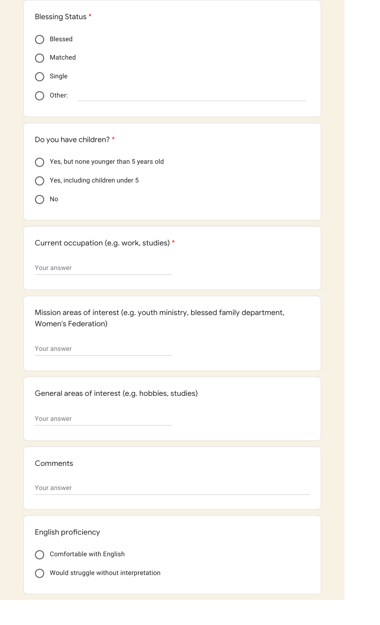| Blessed                                                                                                  |
|----------------------------------------------------------------------------------------------------------|
|                                                                                                          |
| Matched                                                                                                  |
| Single                                                                                                   |
| Other:                                                                                                   |
|                                                                                                          |
| Do you have children? *                                                                                  |
| Yes, but none younger than 5 years old                                                                   |
| Yes, including children under 5                                                                          |
| No                                                                                                       |
|                                                                                                          |
| Current occupation (e.g. work, studies) *                                                                |
| Your answer                                                                                              |
|                                                                                                          |
| Mission areas of interest (e.g. youth ministry, blessed family department,<br><b>Women's Federation)</b> |
| Your answer                                                                                              |
|                                                                                                          |
| General areas of interest (e.g. hobbies, studies)                                                        |
| Your answer                                                                                              |
|                                                                                                          |
| Comments                                                                                                 |
| Your answer                                                                                              |
|                                                                                                          |
| English proficiency                                                                                      |
|                                                                                                          |
| Comfortable with English                                                                                 |
| Would struggle without interpretation                                                                    |